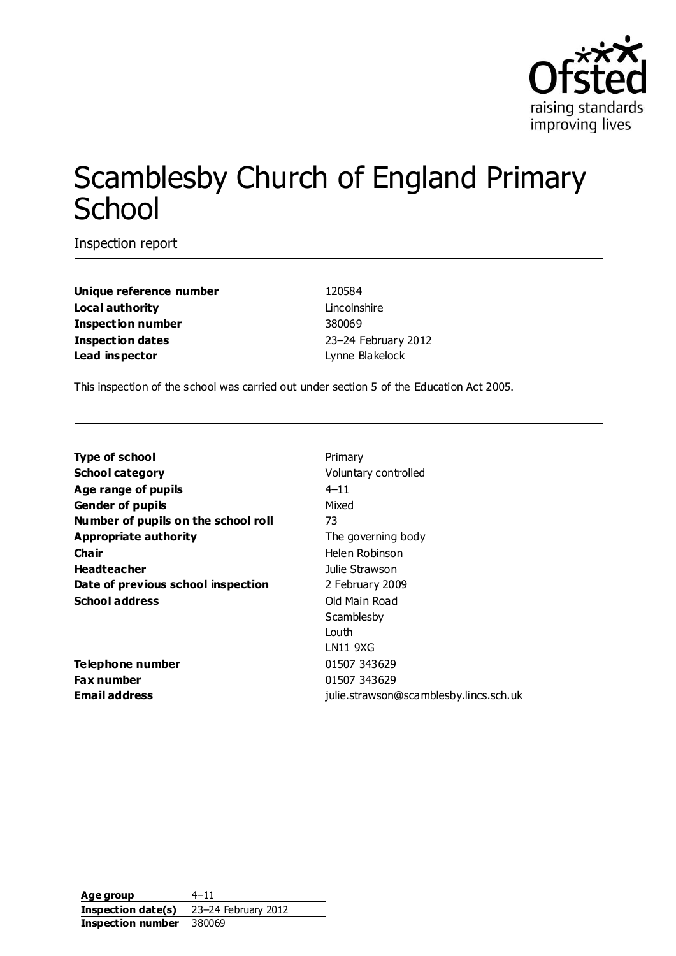

# Scamblesby Church of England Primary **School**

Inspection report

| Unique reference number  |
|--------------------------|
| Local authority          |
| <b>Inspection number</b> |
| <b>Inspection dates</b>  |
| Lead inspector           |

**Unique reference number** 120584 Lincolnshire **Inspection number** 380069 **Inspection dates** 23–24 February 2012 **Lynne Blakelock** 

This inspection of the school was carried out under section 5 of the Education Act 2005.

| <b>Type of school</b>               | Primary                                |
|-------------------------------------|----------------------------------------|
| <b>School category</b>              | Voluntary controlled                   |
| Age range of pupils                 | $4 - 11$                               |
| <b>Gender of pupils</b>             | Mixed                                  |
| Number of pupils on the school roll | 73                                     |
| Appropriate authority               | The governing body                     |
| Cha ir                              | Helen Robinson                         |
| <b>Headteacher</b>                  | Julie Strawson                         |
| Date of previous school inspection  | 2 February 2009                        |
| <b>School address</b>               | Old Main Road                          |
|                                     | Scamblesby                             |
|                                     | Louth                                  |
|                                     | LN11 9XG                               |
| <b>Telephone number</b>             | 01507 343629                           |
| <b>Fax number</b>                   | 01507 343629                           |
| <b>Email address</b>                | julie.strawson@scamblesby.lincs.sch.uk |

**Age group** 4–11 **Inspection date(s)** 23–24 February 2012 **Inspection number** 380069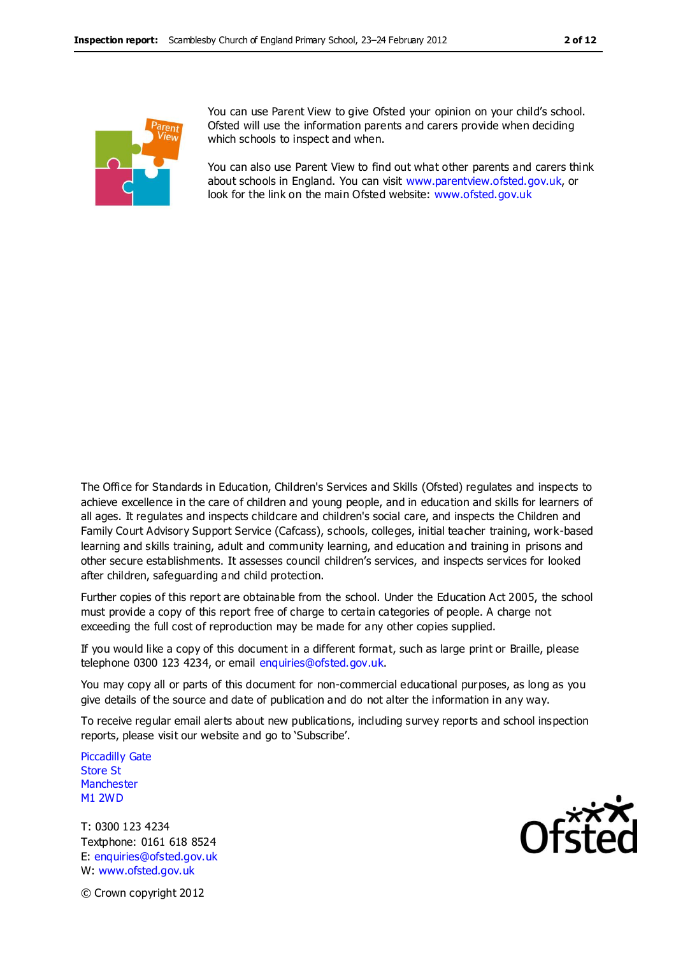

You can use Parent View to give Ofsted your opinion on your child's school. Ofsted will use the information parents and carers provide when deciding which schools to inspect and when.

You can also use Parent View to find out what other parents and carers think about schools in England. You can visit [www.parentview.ofsted.gov.uk,](http://www.parentview.ofsted.gov.uk/) or look for the link on the main Ofsted website: [www.ofsted.gov.uk](http://www.ofsted.gov.uk/)

The Office for Standards in Education, Children's Services and Skills (Ofsted) regulates and inspects to achieve excellence in the care of children and young people, and in education and skills for learners of all ages. It regulates and inspects childcare and children's social care, and inspects the Children and Family Court Advisory Support Service (Cafcass), schools, colleges, initial teacher training, work-based learning and skills training, adult and community learning, and education and training in prisons and other secure establishments. It assesses council children's services, and inspects services for looked after children, safeguarding and child protection.

Further copies of this report are obtainable from the school. Under the Education Act 2005, the school must provide a copy of this report free of charge to certain categories of people. A charge not exceeding the full cost of reproduction may be made for any other copies supplied.

If you would like a copy of this document in a different format, such as large print or Braille, please telephone 0300 123 4234, or email enquiries@ofsted.gov.uk.

You may copy all or parts of this document for non-commercial educational purposes, as long as you give details of the source and date of publication and do not alter the information in any way.

To receive regular email alerts about new publications, including survey reports and school inspection reports, please visit our website and go to 'Subscribe'.

Piccadilly Gate Store St **Manchester** M1 2WD

T: 0300 123 4234 Textphone: 0161 618 8524 E: enquiries@ofsted.gov.uk W: www.ofsted.gov.uk



© Crown copyright 2012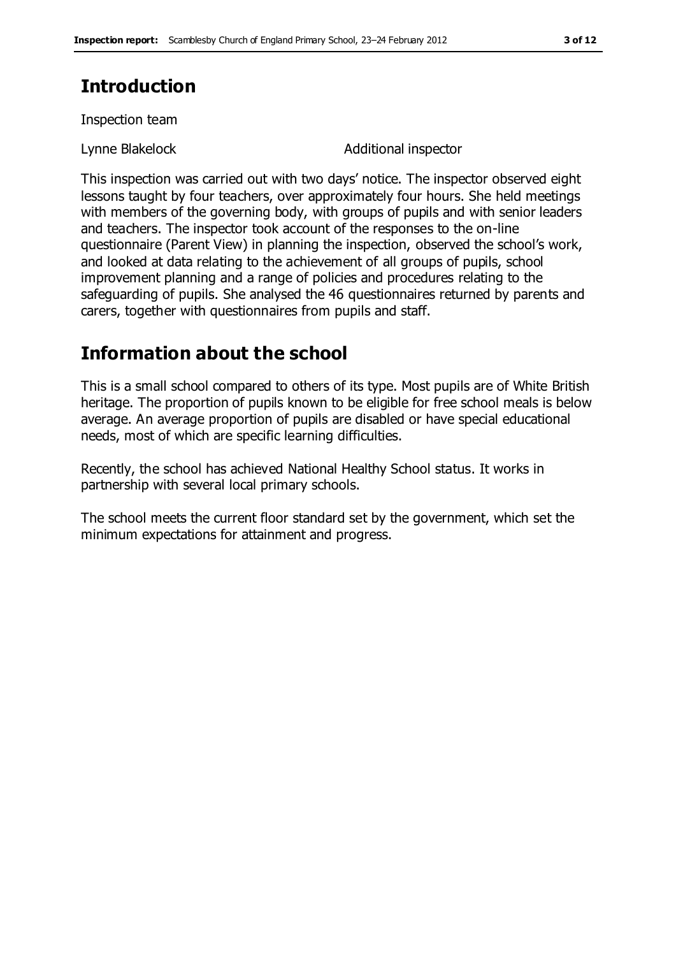## **Introduction**

Inspection team

Lynne Blakelock **Additional inspector** 

This inspection was carried out with two days' notice. The inspector observed eight lessons taught by four teachers, over approximately four hours. She held meetings with members of the governing body, with groups of pupils and with senior leaders and teachers. The inspector took account of the responses to the on-line questionnaire (Parent View) in planning the inspection, observed the school's work, and looked at data relating to the achievement of all groups of pupils, school improvement planning and a range of policies and procedures relating to the safeguarding of pupils. She analysed the 46 questionnaires returned by parents and carers, together with questionnaires from pupils and staff.

## **Information about the school**

This is a small school compared to others of its type. Most pupils are of White British heritage. The proportion of pupils known to be eligible for free school meals is below average. An average proportion of pupils are disabled or have special educational needs, most of which are specific learning difficulties.

Recently, the school has achieved National Healthy School status. It works in partnership with several local primary schools.

The school meets the current floor standard set by the government, which set the minimum expectations for attainment and progress.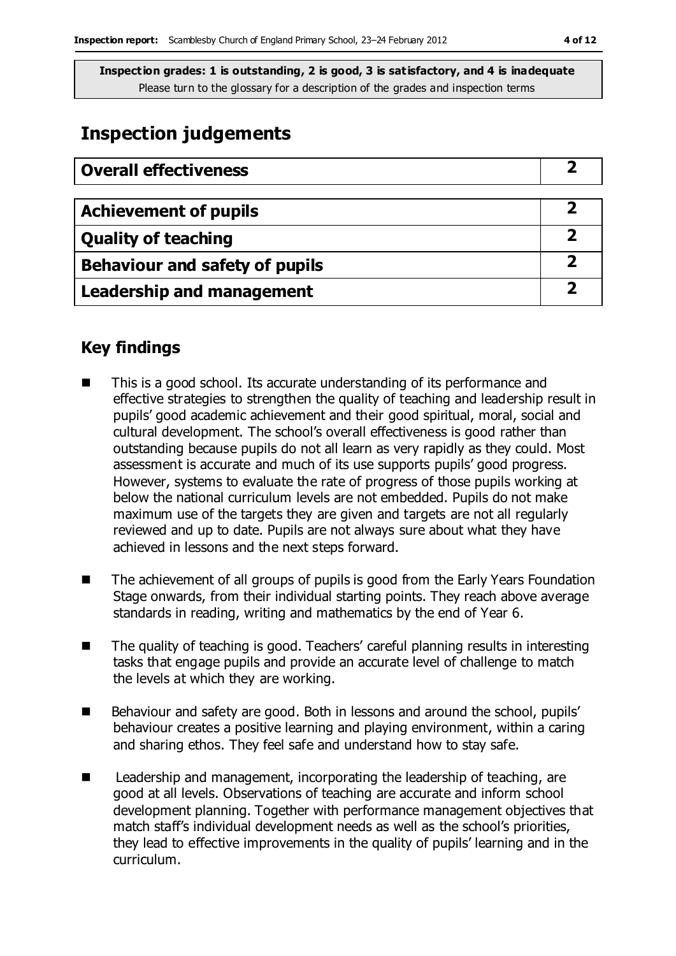## **Inspection judgements**

| <b>Overall effectiveness</b>          |  |
|---------------------------------------|--|
|                                       |  |
| <b>Achievement of pupils</b>          |  |
| <b>Quality of teaching</b>            |  |
| <b>Behaviour and safety of pupils</b> |  |
| <b>Leadership and management</b>      |  |

### **Key findings**

- This is a good school. Its accurate understanding of its performance and effective strategies to strengthen the quality of teaching and leadership result in pupils' good academic achievement and their good spiritual, moral, social and cultural development. The school's overall effectiveness is good rather than outstanding because pupils do not all learn as very rapidly as they could. Most assessment is accurate and much of its use supports pupils' good progress. However, systems to evaluate the rate of progress of those pupils working at below the national curriculum levels are not embedded. Pupils do not make maximum use of the targets they are given and targets are not all regularly reviewed and up to date. Pupils are not always sure about what they have achieved in lessons and the next steps forward.
- The achievement of all groups of pupils is good from the Early Years Foundation Stage onwards, from their individual starting points. They reach above average standards in reading, writing and mathematics by the end of Year 6.
- The quality of teaching is good. Teachers' careful planning results in interesting tasks that engage pupils and provide an accurate level of challenge to match the levels at which they are working.
- Behaviour and safety are good. Both in lessons and around the school, pupils' behaviour creates a positive learning and playing environment, within a caring and sharing ethos. They feel safe and understand how to stay safe.
- Leadership and management, incorporating the leadership of teaching, are good at all levels. Observations of teaching are accurate and inform school development planning. Together with performance management objectives that match staff's individual development needs as well as the school's priorities, they lead to effective improvements in the quality of pupils' learning and in the curriculum.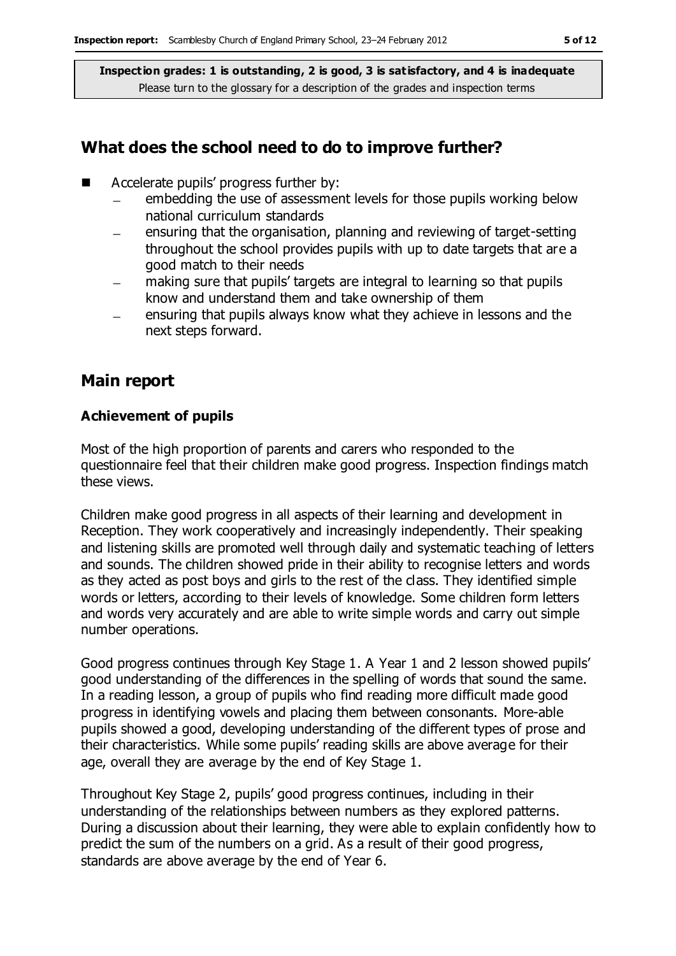#### **What does the school need to do to improve further?**

- Accelerate pupils' progress further by:
	- embedding the use of assessment levels for those pupils working below  $\equiv$ national curriculum standards
	- ensuring that the organisation, planning and reviewing of target-setting  $\equiv$ throughout the school provides pupils with up to date targets that are a good match to their needs
	- making sure that pupils' targets are integral to learning so that pupils  $\equiv$ know and understand them and take ownership of them
	- ensuring that pupils always know what they achieve in lessons and the next steps forward.

#### **Main report**

#### **Achievement of pupils**

Most of the high proportion of parents and carers who responded to the questionnaire feel that their children make good progress. Inspection findings match these views.

Children make good progress in all aspects of their learning and development in Reception. They work cooperatively and increasingly independently. Their speaking and listening skills are promoted well through daily and systematic teaching of letters and sounds. The children showed pride in their ability to recognise letters and words as they acted as post boys and girls to the rest of the class. They identified simple words or letters, according to their levels of knowledge. Some children form letters and words very accurately and are able to write simple words and carry out simple number operations.

Good progress continues through Key Stage 1. A Year 1 and 2 lesson showed pupils' good understanding of the differences in the spelling of words that sound the same. In a reading lesson, a group of pupils who find reading more difficult made good progress in identifying vowels and placing them between consonants. More-able pupils showed a good, developing understanding of the different types of prose and their characteristics. While some pupils' reading skills are above average for their age, overall they are average by the end of Key Stage 1.

Throughout Key Stage 2, pupils' good progress continues, including in their understanding of the relationships between numbers as they explored patterns. During a discussion about their learning, they were able to explain confidently how to predict the sum of the numbers on a grid. As a result of their good progress, standards are above average by the end of Year 6.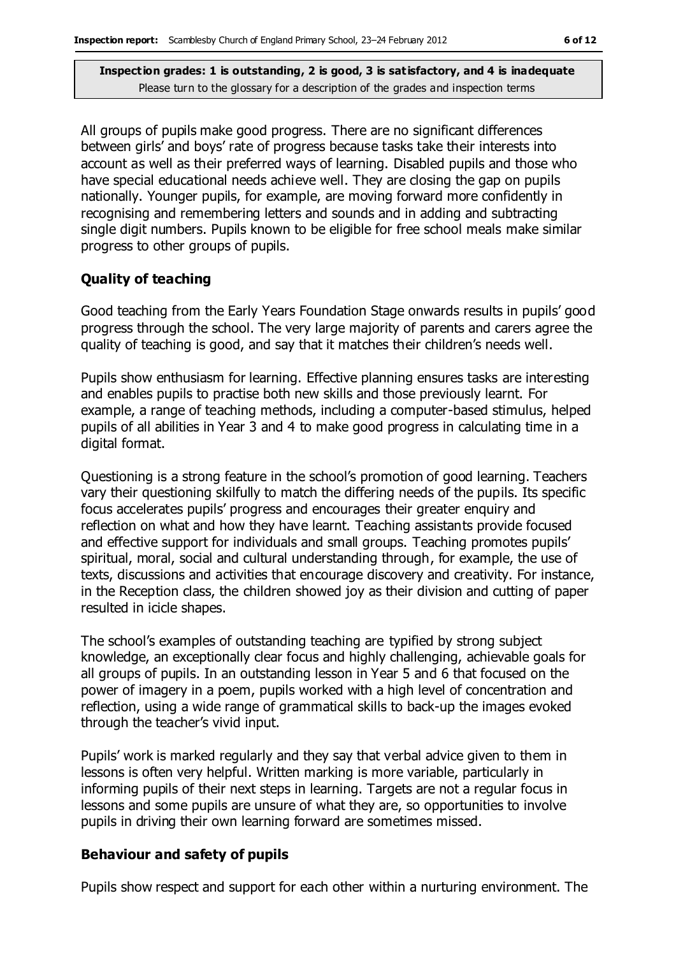All groups of pupils make good progress. There are no significant differences between girls' and boys' rate of progress because tasks take their interests into account as well as their preferred ways of learning. Disabled pupils and those who have special educational needs achieve well. They are closing the gap on pupils nationally. Younger pupils, for example, are moving forward more confidently in recognising and remembering letters and sounds and in adding and subtracting single digit numbers. Pupils known to be eligible for free school meals make similar progress to other groups of pupils.

#### **Quality of teaching**

Good teaching from the Early Years Foundation Stage onwards results in pupils' good progress through the school. The very large majority of parents and carers agree the quality of teaching is good, and say that it matches their children's needs well.

Pupils show enthusiasm for learning. Effective planning ensures tasks are interesting and enables pupils to practise both new skills and those previously learnt. For example, a range of teaching methods, including a computer-based stimulus, helped pupils of all abilities in Year 3 and 4 to make good progress in calculating time in a digital format.

Questioning is a strong feature in the school's promotion of good learning. Teachers vary their questioning skilfully to match the differing needs of the pupils. Its specific focus accelerates pupils' progress and encourages their greater enquiry and reflection on what and how they have learnt. Teaching assistants provide focused and effective support for individuals and small groups. Teaching promotes pupils' spiritual, moral, social and cultural understanding through, for example, the use of texts, discussions and activities that encourage discovery and creativity. For instance, in the Reception class, the children showed joy as their division and cutting of paper resulted in icicle shapes.

The school's examples of outstanding teaching are typified by strong subject knowledge, an exceptionally clear focus and highly challenging, achievable goals for all groups of pupils. In an outstanding lesson in Year 5 and 6 that focused on the power of imagery in a poem, pupils worked with a high level of concentration and reflection, using a wide range of grammatical skills to back-up the images evoked through the teacher's vivid input.

Pupils' work is marked regularly and they say that verbal advice given to them in lessons is often very helpful. Written marking is more variable, particularly in informing pupils of their next steps in learning. Targets are not a regular focus in lessons and some pupils are unsure of what they are, so opportunities to involve pupils in driving their own learning forward are sometimes missed.

#### **Behaviour and safety of pupils**

Pupils show respect and support for each other within a nurturing environment. The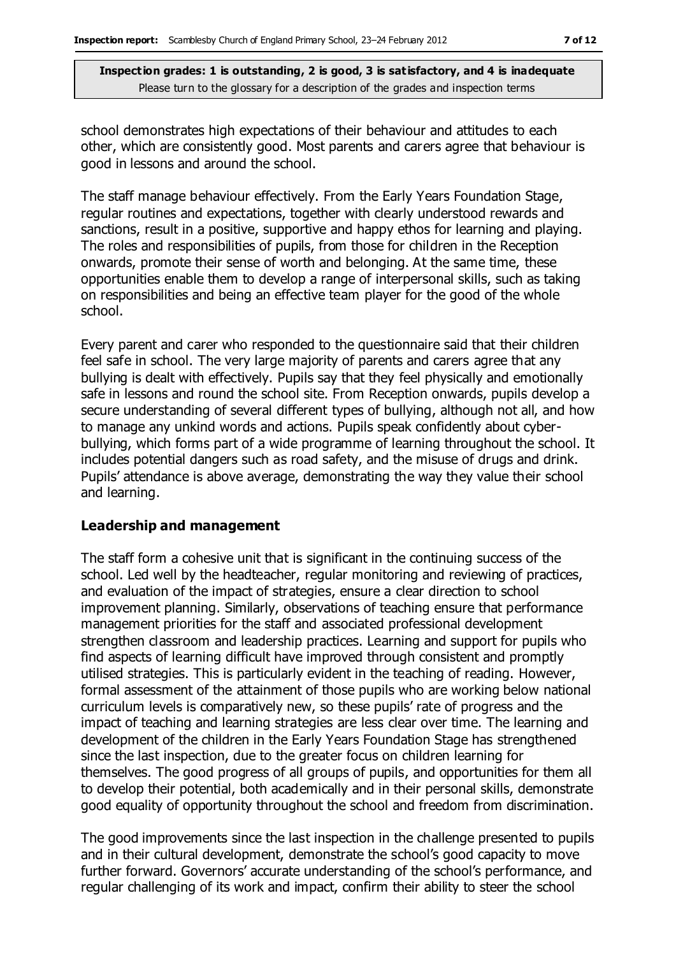school demonstrates high expectations of their behaviour and attitudes to each other, which are consistently good. Most parents and carers agree that behaviour is good in lessons and around the school.

The staff manage behaviour effectively. From the Early Years Foundation Stage, regular routines and expectations, together with clearly understood rewards and sanctions, result in a positive, supportive and happy ethos for learning and playing. The roles and responsibilities of pupils, from those for children in the Reception onwards, promote their sense of worth and belonging. At the same time, these opportunities enable them to develop a range of interpersonal skills, such as taking on responsibilities and being an effective team player for the good of the whole school.

Every parent and carer who responded to the questionnaire said that their children feel safe in school. The very large majority of parents and carers agree that any bullying is dealt with effectively. Pupils say that they feel physically and emotionally safe in lessons and round the school site. From Reception onwards, pupils develop a secure understanding of several different types of bullying, although not all, and how to manage any unkind words and actions. Pupils speak confidently about cyberbullying, which forms part of a wide programme of learning throughout the school. It includes potential dangers such as road safety, and the misuse of drugs and drink. Pupils' attendance is above average, demonstrating the way they value their school and learning.

#### **Leadership and management**

The staff form a cohesive unit that is significant in the continuing success of the school. Led well by the headteacher, regular monitoring and reviewing of practices, and evaluation of the impact of strategies, ensure a clear direction to school improvement planning. Similarly, observations of teaching ensure that performance management priorities for the staff and associated professional development strengthen classroom and leadership practices. Learning and support for pupils who find aspects of learning difficult have improved through consistent and promptly utilised strategies. This is particularly evident in the teaching of reading. However, formal assessment of the attainment of those pupils who are working below national curriculum levels is comparatively new, so these pupils' rate of progress and the impact of teaching and learning strategies are less clear over time. The learning and development of the children in the Early Years Foundation Stage has strengthened since the last inspection, due to the greater focus on children learning for themselves. The good progress of all groups of pupils, and opportunities for them all to develop their potential, both academically and in their personal skills, demonstrate good equality of opportunity throughout the school and freedom from discrimination.

The good improvements since the last inspection in the challenge presented to pupils and in their cultural development, demonstrate the school's good capacity to move further forward. Governors' accurate understanding of the school's performance, and regular challenging of its work and impact, confirm their ability to steer the school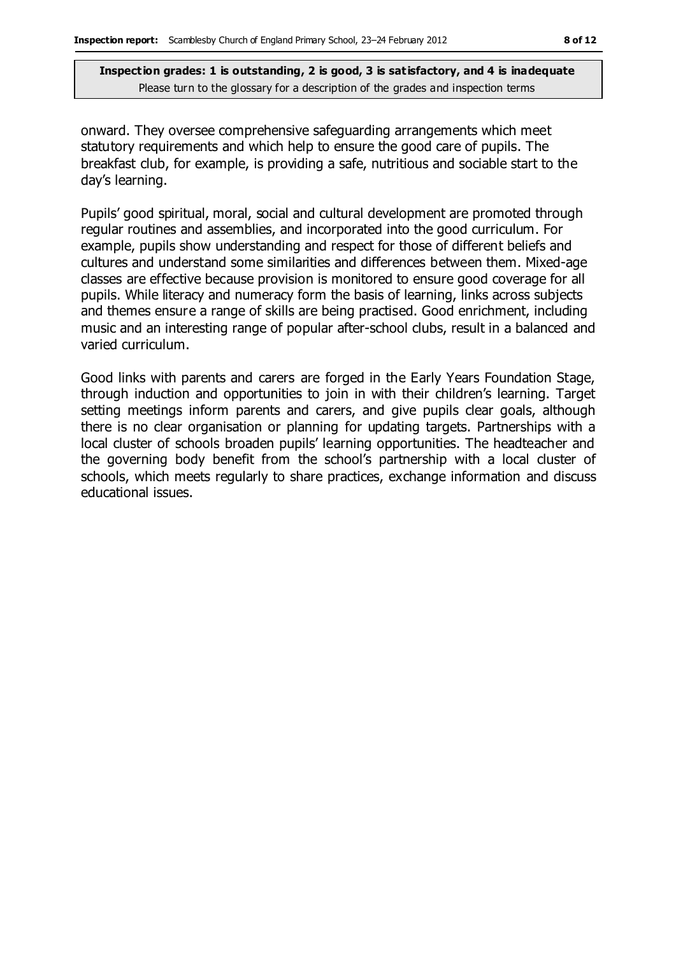onward. They oversee comprehensive safeguarding arrangements which meet statutory requirements and which help to ensure the good care of pupils. The breakfast club, for example, is providing a safe, nutritious and sociable start to the day's learning.

Pupils' good spiritual, moral, social and cultural development are promoted through regular routines and assemblies, and incorporated into the good curriculum. For example, pupils show understanding and respect for those of different beliefs and cultures and understand some similarities and differences between them. Mixed-age classes are effective because provision is monitored to ensure good coverage for all pupils. While literacy and numeracy form the basis of learning, links across subjects and themes ensure a range of skills are being practised. Good enrichment, including music and an interesting range of popular after-school clubs, result in a balanced and varied curriculum.

Good links with parents and carers are forged in the Early Years Foundation Stage, through induction and opportunities to join in with their children's learning. Target setting meetings inform parents and carers, and give pupils clear goals, although there is no clear organisation or planning for updating targets. Partnerships with a local cluster of schools broaden pupils' learning opportunities. The headteacher and the governing body benefit from the school's partnership with a local cluster of schools, which meets regularly to share practices, exchange information and discuss educational issues.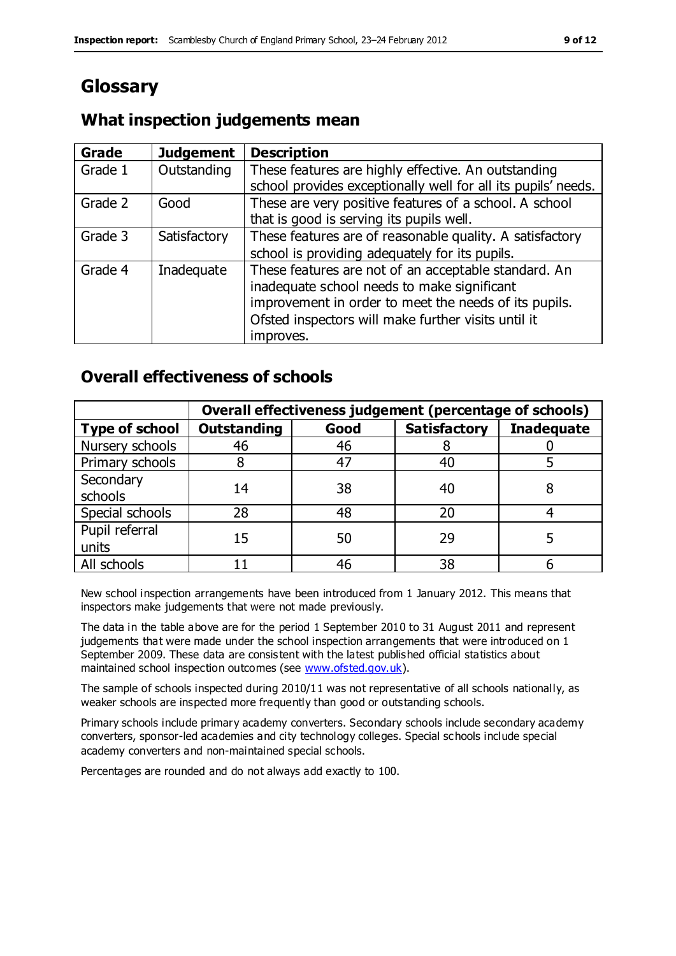## **Glossary**

#### **What inspection judgements mean**

| Grade   | <b>Judgement</b> | <b>Description</b>                                                                                                                                                                                                               |
|---------|------------------|----------------------------------------------------------------------------------------------------------------------------------------------------------------------------------------------------------------------------------|
| Grade 1 | Outstanding      | These features are highly effective. An outstanding<br>school provides exceptionally well for all its pupils' needs.                                                                                                             |
| Grade 2 | Good             | These are very positive features of a school. A school<br>that is good is serving its pupils well.                                                                                                                               |
| Grade 3 | Satisfactory     | These features are of reasonable quality. A satisfactory<br>school is providing adequately for its pupils.                                                                                                                       |
| Grade 4 | Inadequate       | These features are not of an acceptable standard. An<br>inadequate school needs to make significant<br>improvement in order to meet the needs of its pupils.<br>Ofsted inspectors will make further visits until it<br>improves. |

### **Overall effectiveness of schools**

|                         | Overall effectiveness judgement (percentage of schools) |      |                     |                   |
|-------------------------|---------------------------------------------------------|------|---------------------|-------------------|
| <b>Type of school</b>   | <b>Outstanding</b>                                      | Good | <b>Satisfactory</b> | <b>Inadequate</b> |
| Nursery schools         | 46                                                      | 46   |                     |                   |
| Primary schools         |                                                         | 47   | 40                  |                   |
| Secondary<br>schools    | 14                                                      | 38   | 40                  |                   |
| Special schools         | 28                                                      | 48   | 20                  |                   |
| Pupil referral<br>units | 15                                                      | 50   | 29                  |                   |
| All schools             |                                                         | 46   | 38                  |                   |

New school inspection arrangements have been introduced from 1 January 2012. This means that inspectors make judgements that were not made previously.

The data in the table above are for the period 1 September 2010 to 31 August 2011 and represent judgements that were made under the school inspection arrangements that were introduced on 1 September 2009. These data are consis tent with the latest published official statistics about maintained school inspection outcomes (see [www.ofsted.gov.uk\)](http://www.ofsted.gov.uk/).

The sample of schools inspected during 2010/11 was not representative of all schools nationally, as weaker schools are inspected more frequently than good or outstanding schools.

Primary schools include primary academy converters. Secondary schools include secondary academy converters, sponsor-led academies and city technology colleges. Special schools include special academy converters and non-maintained special schools.

Percentages are rounded and do not always add exactly to 100.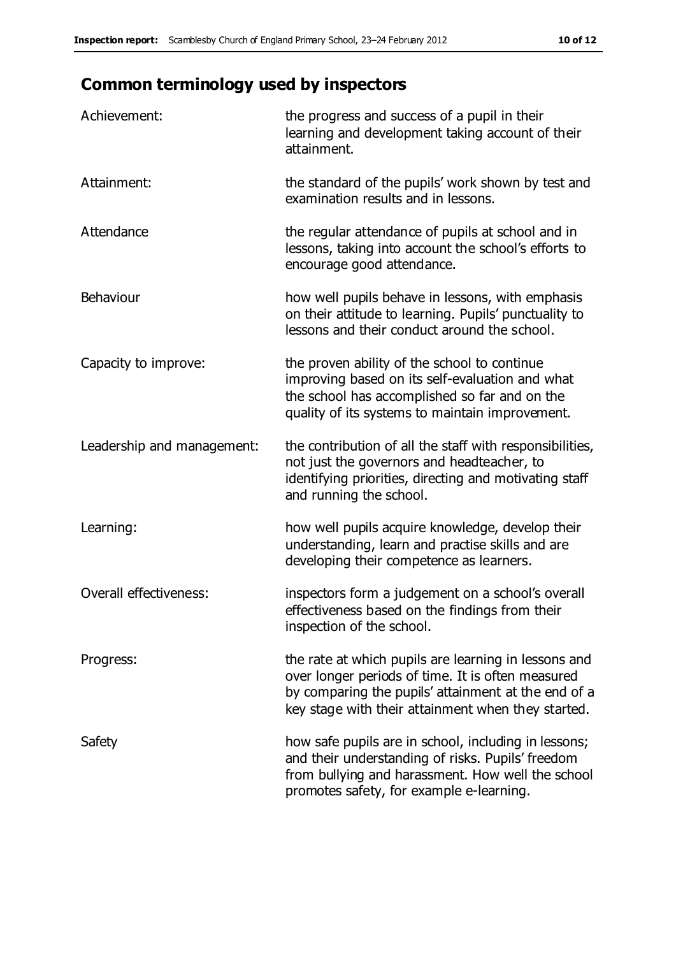## **Common terminology used by inspectors**

| Achievement:                  | the progress and success of a pupil in their<br>learning and development taking account of their<br>attainment.                                                                                                        |
|-------------------------------|------------------------------------------------------------------------------------------------------------------------------------------------------------------------------------------------------------------------|
| Attainment:                   | the standard of the pupils' work shown by test and<br>examination results and in lessons.                                                                                                                              |
| Attendance                    | the regular attendance of pupils at school and in<br>lessons, taking into account the school's efforts to<br>encourage good attendance.                                                                                |
| Behaviour                     | how well pupils behave in lessons, with emphasis<br>on their attitude to learning. Pupils' punctuality to<br>lessons and their conduct around the school.                                                              |
| Capacity to improve:          | the proven ability of the school to continue<br>improving based on its self-evaluation and what<br>the school has accomplished so far and on the<br>quality of its systems to maintain improvement.                    |
| Leadership and management:    | the contribution of all the staff with responsibilities,<br>not just the governors and headteacher, to<br>identifying priorities, directing and motivating staff<br>and running the school.                            |
| Learning:                     | how well pupils acquire knowledge, develop their<br>understanding, learn and practise skills and are<br>developing their competence as learners.                                                                       |
| <b>Overall effectiveness:</b> | inspectors form a judgement on a school's overall<br>effectiveness based on the findings from their<br>inspection of the school.                                                                                       |
| Progress:                     | the rate at which pupils are learning in lessons and<br>over longer periods of time. It is often measured<br>by comparing the pupils' attainment at the end of a<br>key stage with their attainment when they started. |
| Safety                        | how safe pupils are in school, including in lessons;<br>and their understanding of risks. Pupils' freedom<br>from bullying and harassment. How well the school<br>promotes safety, for example e-learning.             |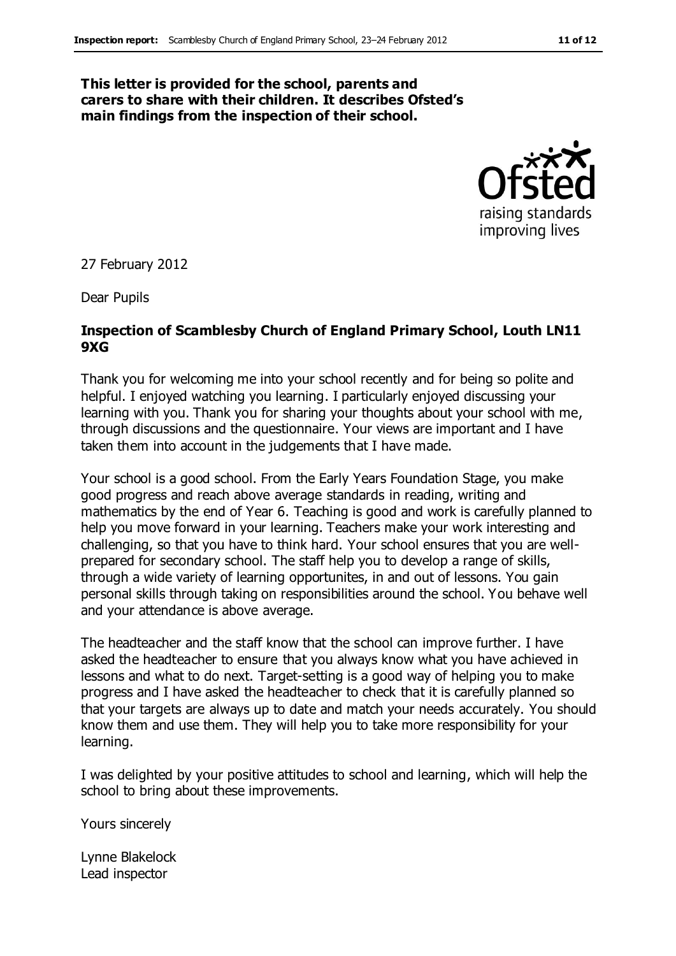#### **This letter is provided for the school, parents and carers to share with their children. It describes Ofsted's main findings from the inspection of their school.**



27 February 2012

Dear Pupils

#### **Inspection of Scamblesby Church of England Primary School, Louth LN11 9XG**

Thank you for welcoming me into your school recently and for being so polite and helpful. I enjoyed watching you learning. I particularly enjoyed discussing your learning with you. Thank you for sharing your thoughts about your school with me, through discussions and the questionnaire. Your views are important and I have taken them into account in the judgements that I have made.

Your school is a good school. From the Early Years Foundation Stage, you make good progress and reach above average standards in reading, writing and mathematics by the end of Year 6. Teaching is good and work is carefully planned to help you move forward in your learning. Teachers make your work interesting and challenging, so that you have to think hard. Your school ensures that you are wellprepared for secondary school. The staff help you to develop a range of skills, through a wide variety of learning opportunites, in and out of lessons. You gain personal skills through taking on responsibilities around the school. You behave well and your attendance is above average.

The headteacher and the staff know that the school can improve further. I have asked the headteacher to ensure that you always know what you have achieved in lessons and what to do next. Target-setting is a good way of helping you to make progress and I have asked the headteacher to check that it is carefully planned so that your targets are always up to date and match your needs accurately. You should know them and use them. They will help you to take more responsibility for your learning.

I was delighted by your positive attitudes to school and learning, which will help the school to bring about these improvements.

Yours sincerely

Lynne Blakelock Lead inspector